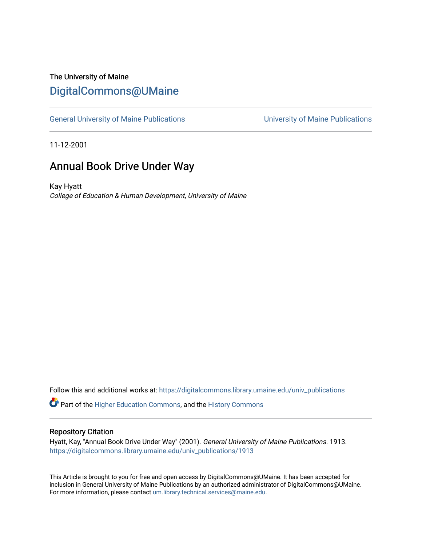## The University of Maine [DigitalCommons@UMaine](https://digitalcommons.library.umaine.edu/)

[General University of Maine Publications](https://digitalcommons.library.umaine.edu/univ_publications) [University of Maine Publications](https://digitalcommons.library.umaine.edu/umaine_publications) 

11-12-2001

### Annual Book Drive Under Way

Kay Hyatt College of Education & Human Development, University of Maine

Follow this and additional works at: [https://digitalcommons.library.umaine.edu/univ\\_publications](https://digitalcommons.library.umaine.edu/univ_publications?utm_source=digitalcommons.library.umaine.edu%2Funiv_publications%2F1913&utm_medium=PDF&utm_campaign=PDFCoverPages) 

Part of the [Higher Education Commons,](http://network.bepress.com/hgg/discipline/1245?utm_source=digitalcommons.library.umaine.edu%2Funiv_publications%2F1913&utm_medium=PDF&utm_campaign=PDFCoverPages) and the [History Commons](http://network.bepress.com/hgg/discipline/489?utm_source=digitalcommons.library.umaine.edu%2Funiv_publications%2F1913&utm_medium=PDF&utm_campaign=PDFCoverPages)

#### Repository Citation

Hyatt, Kay, "Annual Book Drive Under Way" (2001). General University of Maine Publications. 1913. [https://digitalcommons.library.umaine.edu/univ\\_publications/1913](https://digitalcommons.library.umaine.edu/univ_publications/1913?utm_source=digitalcommons.library.umaine.edu%2Funiv_publications%2F1913&utm_medium=PDF&utm_campaign=PDFCoverPages)

This Article is brought to you for free and open access by DigitalCommons@UMaine. It has been accepted for inclusion in General University of Maine Publications by an authorized administrator of DigitalCommons@UMaine. For more information, please contact [um.library.technical.services@maine.edu](mailto:um.library.technical.services@maine.edu).